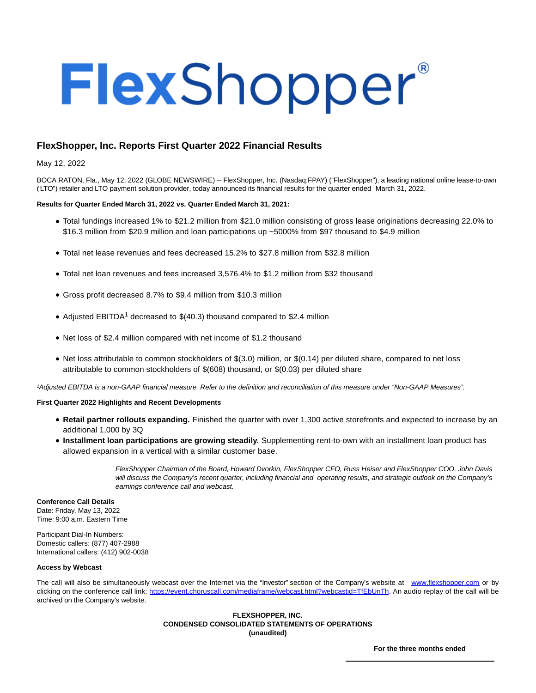# FlexShopper®

# **FlexShopper, Inc. Reports First Quarter 2022 Financial Results**

May 12, 2022

BOCA RATON, Fla., May 12, 2022 (GLOBE NEWSWIRE) -- FlexShopper, Inc. (Nasdaq:FPAY) ("FlexShopper"), a leading national online lease-to-own ("LTO") retailer and LTO payment solution provider, today announced its financial results for the quarter ended March 31, 2022.

# **Results for Quarter Ended March 31, 2022 vs. Quarter Ended March 31, 2021:**

- Total fundings increased 1% to \$21.2 million from \$21.0 million consisting of gross lease originations decreasing 22.0% to \$16.3 million from \$20.9 million and loan participations up ~5000% from \$97 thousand to \$4.9 million
- Total net lease revenues and fees decreased 15.2% to \$27.8 million from \$32.8 million
- Total net loan revenues and fees increased 3,576.4% to \$1.2 million from \$32 thousand
- Gross profit decreased 8.7% to \$9.4 million from \$10.3 million
- Adjusted EBITDA<sup>1</sup> decreased to \$(40.3) thousand compared to \$2.4 million
- Net loss of \$2.4 million compared with net income of \$1.2 thousand
- Net loss attributable to common stockholders of \$(3.0) million, or \$(0.14) per diluted share, compared to net loss attributable to common stockholders of \$(608) thousand, or \$(0.03) per diluted share

<sup>1</sup>Adjusted EBITDA is a non-GAAP financial measure. Refer to the definition and reconciliation of this measure under "Non-GAAP Measures".

#### **First Quarter 2022 Highlights and Recent Developments**

- **Retail partner rollouts expanding.** Finished the quarter with over 1,300 active storefronts and expected to increase by an additional 1,000 by 3Q
- **Installment loan participations are growing steadily.** Supplementing rent-to-own with an installment loan product has allowed expansion in a vertical with a similar customer base.

FlexShopper Chairman of the Board, Howard Dvorkin, FlexShopper CFO, Russ Heiser and FlexShopper COO, John Davis will discuss the Company's recent quarter, including financial and operating results, and strategic outlook on the Company's earnings conference call and webcast.

#### **Conference Call Details**

Date: Friday, May 13, 2022 Time: 9:00 a.m. Eastern Time

Participant Dial-In Numbers: Domestic callers: (877) 407-2988 International callers: (412) 902-0038

#### **Access by Webcast**

The call will also be simultaneously webcast over the Internet via the "Investor" section of the Company's website at [www.flexshopper.com o](http://www.flexshopper.com/)r by clicking on the conference call link: [https://event.choruscall.com/mediaframe/webcast.html?webcastid=TfEbUnTh.](https://www.globenewswire.com/Tracker?data=IV9vLwtuAqpplenatAgt2lQzLa6btIfSQihoONCDJ3IbZQf03KEYIYk47SbyFbEV3dzPKM69mWQUVTwbNmwnhiMG0DwX97Jp2y_CVj3NT31vThkH40E7fZjoO0dSfx2TgocdK8NxovCkwbcRjTmgWDoK_vLppsCMvsEqYLYg-2MpQ11iDY_Yfb-p9ORxQgj4ji210-CvRnE-6dAKGk-EvXSJ95HtePIrCZNZ6z-KV9w=) An audio replay of the call will be archived on the Company's website.

> **FLEXSHOPPER, INC. CONDENSED CONSOLIDATED STATEMENTS OF OPERATIONS (unaudited)**

> > **For the three months ended**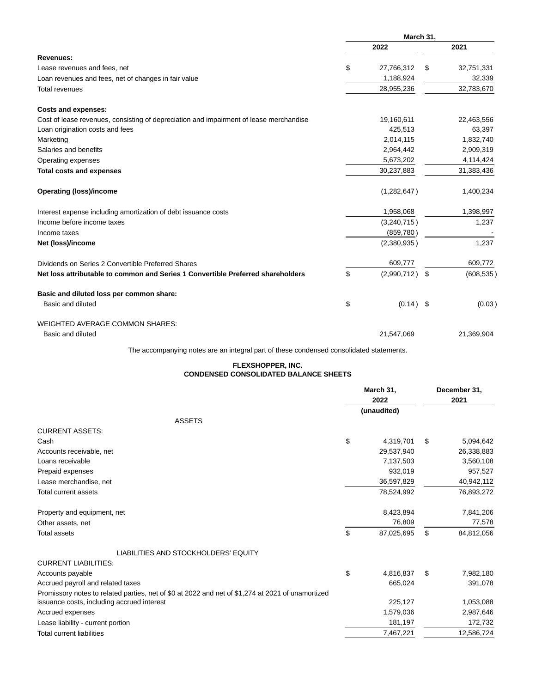|                                                                                        |    | March 31,        |    |            |  |
|----------------------------------------------------------------------------------------|----|------------------|----|------------|--|
|                                                                                        |    | 2022             |    | 2021       |  |
| <b>Revenues:</b>                                                                       |    |                  |    |            |  |
| Lease revenues and fees, net                                                           | \$ | 27,766,312       | \$ | 32,751,331 |  |
| Loan revenues and fees, net of changes in fair value                                   |    | 1,188,924        |    | 32,339     |  |
| <b>Total revenues</b>                                                                  |    | 28,955,236       |    | 32,783,670 |  |
| <b>Costs and expenses:</b>                                                             |    |                  |    |            |  |
| Cost of lease revenues, consisting of depreciation and impairment of lease merchandise |    | 19,160,611       |    | 22,463,556 |  |
| Loan origination costs and fees                                                        |    | 425,513          |    | 63,397     |  |
| Marketing                                                                              |    | 2,014,115        |    | 1,832,740  |  |
| Salaries and benefits                                                                  |    | 2,964,442        |    | 2,909,319  |  |
| Operating expenses                                                                     |    | 5,673,202        |    | 4,114,424  |  |
| <b>Total costs and expenses</b>                                                        |    | 30,237,883       |    | 31,383,436 |  |
| <b>Operating (loss)/income</b>                                                         |    | (1,282,647)      |    | 1,400,234  |  |
| Interest expense including amortization of debt issuance costs                         |    | 1,958,068        |    | 1,398,997  |  |
| Income before income taxes                                                             |    | (3,240,715)      |    | 1,237      |  |
| Income taxes                                                                           |    | (859,780)        |    |            |  |
| Net (loss)/income                                                                      |    | (2,380,935)      |    | 1,237      |  |
| Dividends on Series 2 Convertible Preferred Shares                                     |    | 609,777          |    | 609,772    |  |
| Net loss attributable to common and Series 1 Convertible Preferred shareholders        | \$ | $(2,990,712)$ \$ |    | (608, 535) |  |
| Basic and diluted loss per common share:                                               |    |                  |    |            |  |
| Basic and diluted                                                                      | \$ | $(0.14)$ \$      |    | (0.03)     |  |
| <b>WEIGHTED AVERAGE COMMON SHARES:</b>                                                 |    |                  |    |            |  |
| Basic and diluted                                                                      |    | 21,547,069       |    | 21,369,904 |  |

The accompanying notes are an integral part of these condensed consolidated statements.

# **FLEXSHOPPER, INC. CONDENSED CONSOLIDATED BALANCE SHEETS**

|                                                                                                   | March 31,<br>2022 |             |    | December 31,<br>2021 |  |
|---------------------------------------------------------------------------------------------------|-------------------|-------------|----|----------------------|--|
|                                                                                                   |                   |             |    |                      |  |
|                                                                                                   |                   | (unaudited) |    |                      |  |
| <b>ASSETS</b>                                                                                     |                   |             |    |                      |  |
| <b>CURRENT ASSETS:</b>                                                                            |                   |             |    |                      |  |
| Cash                                                                                              | \$                | 4,319,701   | \$ | 5,094,642            |  |
| Accounts receivable, net                                                                          |                   | 29,537,940  |    | 26,338,883           |  |
| Loans receivable                                                                                  |                   | 7,137,503   |    | 3,560,108            |  |
| Prepaid expenses                                                                                  |                   | 932,019     |    | 957,527              |  |
| Lease merchandise, net                                                                            |                   | 36,597,829  |    | 40,942,112           |  |
| <b>Total current assets</b>                                                                       |                   | 78,524,992  |    | 76,893,272           |  |
| Property and equipment, net                                                                       |                   | 8,423,894   |    | 7,841,206            |  |
| Other assets, net                                                                                 |                   | 76,809      |    | 77,578               |  |
| <b>Total assets</b>                                                                               | \$                | 87,025,695  | \$ | 84,812,056           |  |
| LIABILITIES AND STOCKHOLDERS' EQUITY                                                              |                   |             |    |                      |  |
| <b>CURRENT LIABILITIES:</b>                                                                       |                   |             |    |                      |  |
| Accounts payable                                                                                  | \$                | 4,816,837   | \$ | 7,982,180            |  |
| Accrued payroll and related taxes                                                                 |                   | 665,024     |    | 391,078              |  |
| Promissory notes to related parties, net of \$0 at 2022 and net of \$1,274 at 2021 of unamortized |                   |             |    |                      |  |
| issuance costs, including accrued interest                                                        |                   | 225,127     |    | 1,053,088            |  |
| Accrued expenses                                                                                  |                   | 1,579,036   |    | 2,987,646            |  |
| Lease liability - current portion                                                                 |                   | 181,197     |    | 172,732              |  |
| <b>Total current liabilities</b>                                                                  |                   | 7,467,221   |    | 12,586,724           |  |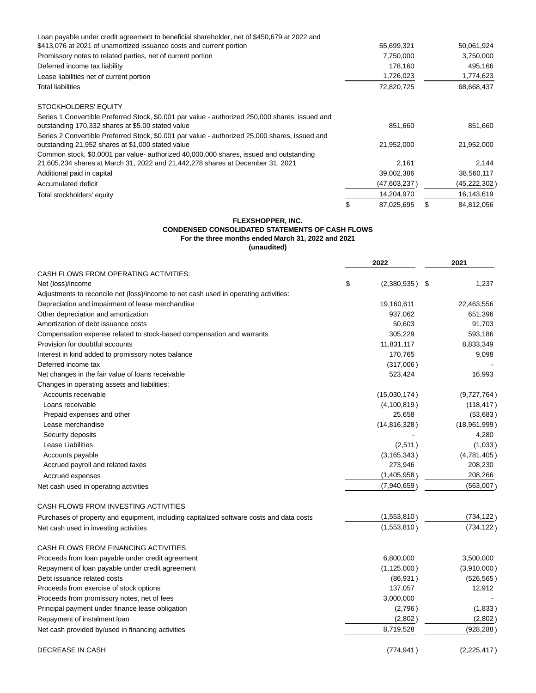| Loan payable under credit agreement to beneficial shareholder, net of \$450,679 at 2022 and     |                  |                  |
|-------------------------------------------------------------------------------------------------|------------------|------------------|
| \$413,076 at 2021 of unamortized issuance costs and current portion                             | 55,699,321       | 50,061,924       |
| Promissory notes to related parties, net of current portion                                     | 7,750,000        | 3,750,000        |
| Deferred income tax liability                                                                   | 178,160          | 495,166          |
| Lease liabilities net of current portion                                                        | 1,726,023        | 1,774,623        |
| <b>Total liabilities</b>                                                                        | 72,820,725       | 68,668,437       |
| STOCKHOLDERS' EQUITY                                                                            |                  |                  |
| Series 1 Convertible Preferred Stock, \$0.001 par value - authorized 250,000 shares, issued and |                  |                  |
| outstanding 170,332 shares at \$5.00 stated value                                               | 851,660          | 851,660          |
| Series 2 Convertible Preferred Stock, \$0.001 par value - authorized 25,000 shares, issued and  |                  |                  |
| outstanding 21,952 shares at \$1,000 stated value                                               | 21,952,000       | 21,952,000       |
| Common stock, \$0.0001 par value- authorized 40,000,000 shares, issued and outstanding          |                  |                  |
| 21,605,234 shares at March 31, 2022 and 21,442,278 shares at December 31, 2021                  | 2,161            | 2,144            |
| Additional paid in capital                                                                      | 39,002,386       | 38,560,117       |
| Accumulated deficit                                                                             | (47,603,237)     | (45, 222, 302)   |
| Total stockholders' equity                                                                      | 14,204,970       | 16,143,619       |
|                                                                                                 | \$<br>87,025,695 | \$<br>84,812,056 |

#### **FLEXSHOPPER, INC. CONDENSED CONSOLIDATED STATEMENTS OF CASH FLOWS For the three months ended March 31, 2022 and 2021 (unaudited)**

|                                                                                          | 2022              |     | 2021         |
|------------------------------------------------------------------------------------------|-------------------|-----|--------------|
| CASH FLOWS FROM OPERATING ACTIVITIES:                                                    |                   |     |              |
| Net (loss)/income                                                                        | \$<br>(2,380,935) | -\$ | 1,237        |
| Adjustments to reconcile net (loss)/income to net cash used in operating activities:     |                   |     |              |
| Depreciation and impairment of lease merchandise                                         | 19,160,611        |     | 22,463,556   |
| Other depreciation and amortization                                                      | 937,062           |     | 651,396      |
| Amortization of debt issuance costs                                                      | 50,603            |     | 91,703       |
| Compensation expense related to stock-based compensation and warrants                    | 305,229           |     | 593,186      |
| Provision for doubtful accounts                                                          | 11,831,117        |     | 8,833,349    |
| Interest in kind added to promissory notes balance                                       | 170,765           |     | 9,098        |
| Deferred income tax                                                                      | (317,006)         |     |              |
| Net changes in the fair value of loans receivable                                        | 523,424           |     | 16,993       |
| Changes in operating assets and liabilities:                                             |                   |     |              |
| Accounts receivable                                                                      | (15,030,174)      |     | (9,727,764)  |
| Loans receivable                                                                         | (4, 100, 819)     |     | (118, 417)   |
| Prepaid expenses and other                                                               | 25,658            |     | (53, 683)    |
| Lease merchandise                                                                        | (14, 816, 328)    |     | (18,961,999) |
| Security deposits                                                                        |                   |     | 4,280        |
| Lease Liabilities                                                                        | (2,511)           |     | (1,033)      |
| Accounts payable                                                                         | (3, 165, 343)     |     | (4,781,405)  |
| Accrued payroll and related taxes                                                        | 273,946           |     | 208,230      |
| Accrued expenses                                                                         | (1,405,958)       |     | 208,266      |
| Net cash used in operating activities                                                    | (7,940,659)       |     | (563,007)    |
| CASH FLOWS FROM INVESTING ACTIVITIES                                                     |                   |     |              |
| Purchases of property and equipment, including capitalized software costs and data costs | (1,553,810)       |     | (734, 122)   |
| Net cash used in investing activities                                                    | (1,553,810)       |     | (734, 122)   |
| CASH FLOWS FROM FINANCING ACTIVITIES                                                     |                   |     |              |
| Proceeds from loan payable under credit agreement                                        | 6,800,000         |     | 3,500,000    |
| Repayment of loan payable under credit agreement                                         | (1, 125, 000)     |     | (3,910,000)  |
| Debt issuance related costs                                                              | (86, 931)         |     | (526, 565)   |
| Proceeds from exercise of stock options                                                  | 137,057           |     | 12,912       |
| Proceeds from promissory notes, net of fees                                              | 3,000,000         |     |              |
| Principal payment under finance lease obligation                                         | (2,796)           |     | (1,833)      |
| Repayment of instalment loan                                                             | (2,802)           |     | (2,802)      |
| Net cash provided by/used in financing activities                                        | 8,719,528         |     | (928, 288)   |
| <b>DECREASE IN CASH</b>                                                                  | (774, 941)        |     | (2,225,417)  |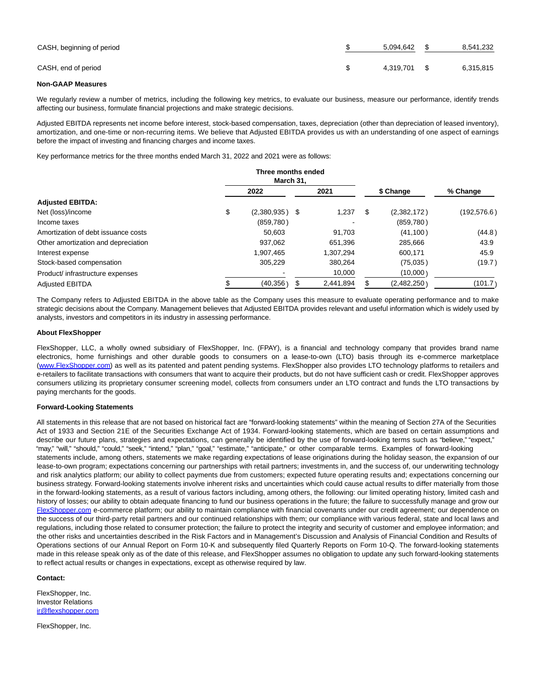| CASH, beginning of period | 5,094,642    | 8,541,232 |
|---------------------------|--------------|-----------|
| CASH, end of period       | 4.319.701 \$ | 6,315,815 |

#### **Non-GAAP Measures**

We regularly review a number of metrics, including the following key metrics, to evaluate our business, measure our performance, identify trends affecting our business, formulate financial projections and make strategic decisions.

Adjusted EBITDA represents net income before interest, stock-based compensation, taxes, depreciation (other than depreciation of leased inventory), amortization, and one-time or non-recurring items. We believe that Adjusted EBITDA provides us with an understanding of one aspect of earnings before the impact of investing and financing charges and income taxes.

Key performance metrics for the three months ended March 31, 2022 and 2021 were as follows:

|                                     |      | Three months ended<br>March 31. |  |           |    |             |              |
|-------------------------------------|------|---------------------------------|--|-----------|----|-------------|--------------|
|                                     | 2022 |                                 |  | 2021      |    | \$ Change   | % Change     |
| <b>Adjusted EBITDA:</b>             |      |                                 |  |           |    |             |              |
| Net (loss)/income                   | \$   | $(2,380,935)$ \$                |  | 1,237     | \$ | (2,382,172) | (192, 576.6) |
| Income taxes                        |      | (859,780)                       |  |           |    | (859,780)   |              |
| Amortization of debt issuance costs |      | 50.603                          |  | 91.703    |    | (41, 100)   | (44.8)       |
| Other amortization and depreciation |      | 937.062                         |  | 651.396   |    | 285.666     | 43.9         |
| Interest expense                    |      | 1,907,465                       |  | 1,307,294 |    | 600.171     | 45.9         |
| Stock-based compensation            |      | 305,229                         |  | 380.264   |    | (75,035)    | (19.7)       |
| Product/ infrastructure expenses    |      |                                 |  | 10,000    |    | (10,000)    |              |
| <b>Adjusted EBITDA</b>              |      | (40, 356)                       |  | 2.441.894 |    | (2,482,250) | (101.7)      |

The Company refers to Adjusted EBITDA in the above table as the Company uses this measure to evaluate operating performance and to make strategic decisions about the Company. Management believes that Adjusted EBITDA provides relevant and useful information which is widely used by analysts, investors and competitors in its industry in assessing performance.

#### **About FlexShopper**

FlexShopper, LLC, a wholly owned subsidiary of FlexShopper, Inc. (FPAY), is a financial and technology company that provides brand name electronics, home furnishings and other durable goods to consumers on a lease-to-own (LTO) basis through its e-commerce marketplace [\(www.FlexShopper.com\)](http://www.flexshopper.com/) as well as its patented and patent pending systems. FlexShopper also provides LTO technology platforms to retailers and e-retailers to facilitate transactions with consumers that want to acquire their products, but do not have sufficient cash or credit. FlexShopper approves consumers utilizing its proprietary consumer screening model, collects from consumers under an LTO contract and funds the LTO transactions by paying merchants for the goods.

#### **Forward-Looking Statements**

All statements in this release that are not based on historical fact are "forward-looking statements" within the meaning of Section 27A of the Securities Act of 1933 and Section 21E of the Securities Exchange Act of 1934. Forward-looking statements, which are based on certain assumptions and describe our future plans, strategies and expectations, can generally be identified by the use of forward-looking terms such as "believe," "expect," "may," "will," "should," "could," "seek," "intend," "plan," "goal," "estimate," "anticipate," or other comparable terms. Examples of forward-looking statements include, among others, statements we make regarding expectations of lease originations during the holiday season, the expansion of our lease-to-own program; expectations concerning our partnerships with retail partners; investments in, and the success of, our underwriting technology and risk analytics platform; our ability to collect payments due from customers; expected future operating results and; expectations concerning our business strategy. Forward-looking statements involve inherent risks and uncertainties which could cause actual results to differ materially from those in the forward-looking statements, as a result of various factors including, among others, the following: our limited operating history, limited cash and history of losses; our ability to obtain adequate financing to fund our business operations in the future; the failure to successfully manage and grow our [FlexShopper.com e](http://flexshopper.com/)-commerce platform; our ability to maintain compliance with financial covenants under our credit agreement; our dependence on the success of our third-party retail partners and our continued relationships with them; our compliance with various federal, state and local laws and regulations, including those related to consumer protection; the failure to protect the integrity and security of customer and employee information; and the other risks and uncertainties described in the Risk Factors and in Management's Discussion and Analysis of Financial Condition and Results of Operations sections of our Annual Report on Form 10-K and subsequently filed Quarterly Reports on Form 10-Q. The forward-looking statements made in this release speak only as of the date of this release, and FlexShopper assumes no obligation to update any such forward-looking statements to reflect actual results or changes in expectations, except as otherwise required by law.

# **Contact:**

FlexShopper, Inc. Investor Relations [ir@flexshopper.com](https://www.globenewswire.com/Tracker?data=-c6ZfyA1OpiwmQ9kX8B2qnPsdEBhmw9HOCMZFbfau_RSzNsN-TqGSpTF7F4CD9dVa2ZkavasypuLHi9xkQkZJkiseoeDAa6QeW5uw14WUGs=)

FlexShopper, Inc.